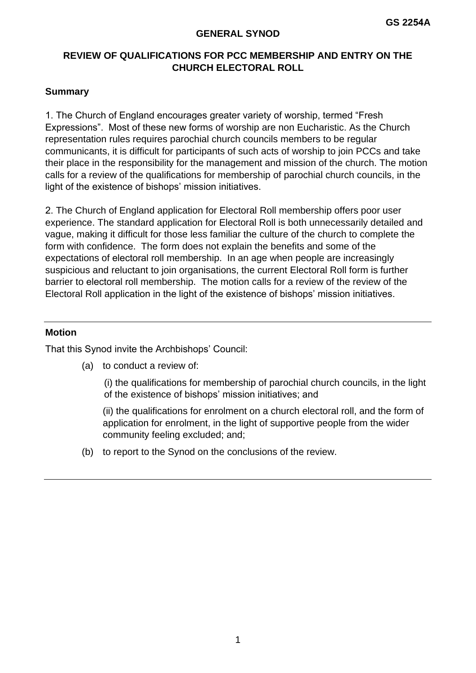#### **GENERAL SYNOD**

# **REVIEW OF QUALIFICATIONS FOR PCC MEMBERSHIP AND ENTRY ON THE CHURCH ELECTORAL ROLL**

## **Summary**

1. The Church of England encourages greater variety of worship, termed "Fresh Expressions". Most of these new forms of worship are non Eucharistic. As the Church representation rules requires parochial church councils members to be regular communicants, it is difficult for participants of such acts of worship to join PCCs and take their place in the responsibility for the management and mission of the church. The motion calls for a review of the qualifications for membership of parochial church councils, in the light of the existence of bishops' mission initiatives.

2. The Church of England application for Electoral Roll membership offers poor user experience. The standard application for Electoral Roll is both unnecessarily detailed and vague, making it difficult for those less familiar the culture of the church to complete the form with confidence. The form does not explain the benefits and some of the expectations of electoral roll membership. In an age when people are increasingly suspicious and reluctant to join organisations, the current Electoral Roll form is further barrier to electoral roll membership. The motion calls for a review of the review of the Electoral Roll application in the light of the existence of bishops' mission initiatives.

#### **Motion**

That this Synod invite the Archbishops' Council:

(a) to conduct a review of:

(i) the qualifications for membership of parochial church councils, in the light of the existence of bishops' mission initiatives; and

(ii) the qualifications for enrolment on a church electoral roll, and the form of application for enrolment, in the light of supportive people from the wider community feeling excluded; and;

(b) to report to the Synod on the conclusions of the review.